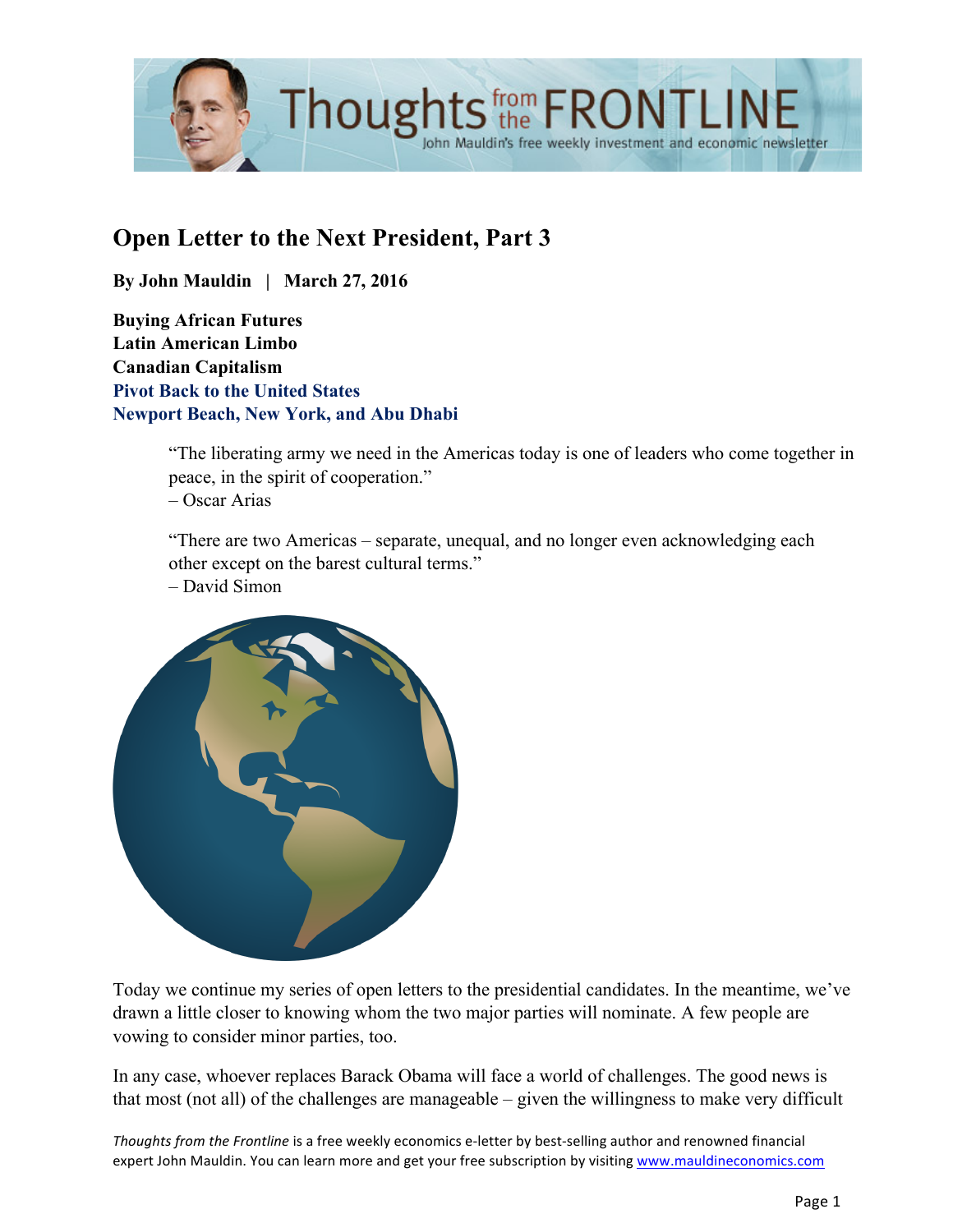

# **Open Letter to the Next President, Part 3**

**By John Mauldin | March 27, 2016**

**Buying African Futures Latin American Limbo Canadian Capitalism Pivot Back to the United States Newport Beach, New York, and Abu Dhabi**

> "The liberating army we need in the Americas today is one of leaders who come together in peace, in the spirit of cooperation."

– Oscar Arias

"There are two Americas – separate, unequal, and no longer even acknowledging each other except on the barest cultural terms."

– David Simon



Today we continue my series of open letters to the presidential candidates. In the meantime, we've drawn a little closer to knowing whom the two major parties will nominate. A few people are vowing to consider minor parties, too.

In any case, whoever replaces Barack Obama will face a world of challenges. The good news is that most (not all) of the challenges are manageable – given the willingness to make very difficult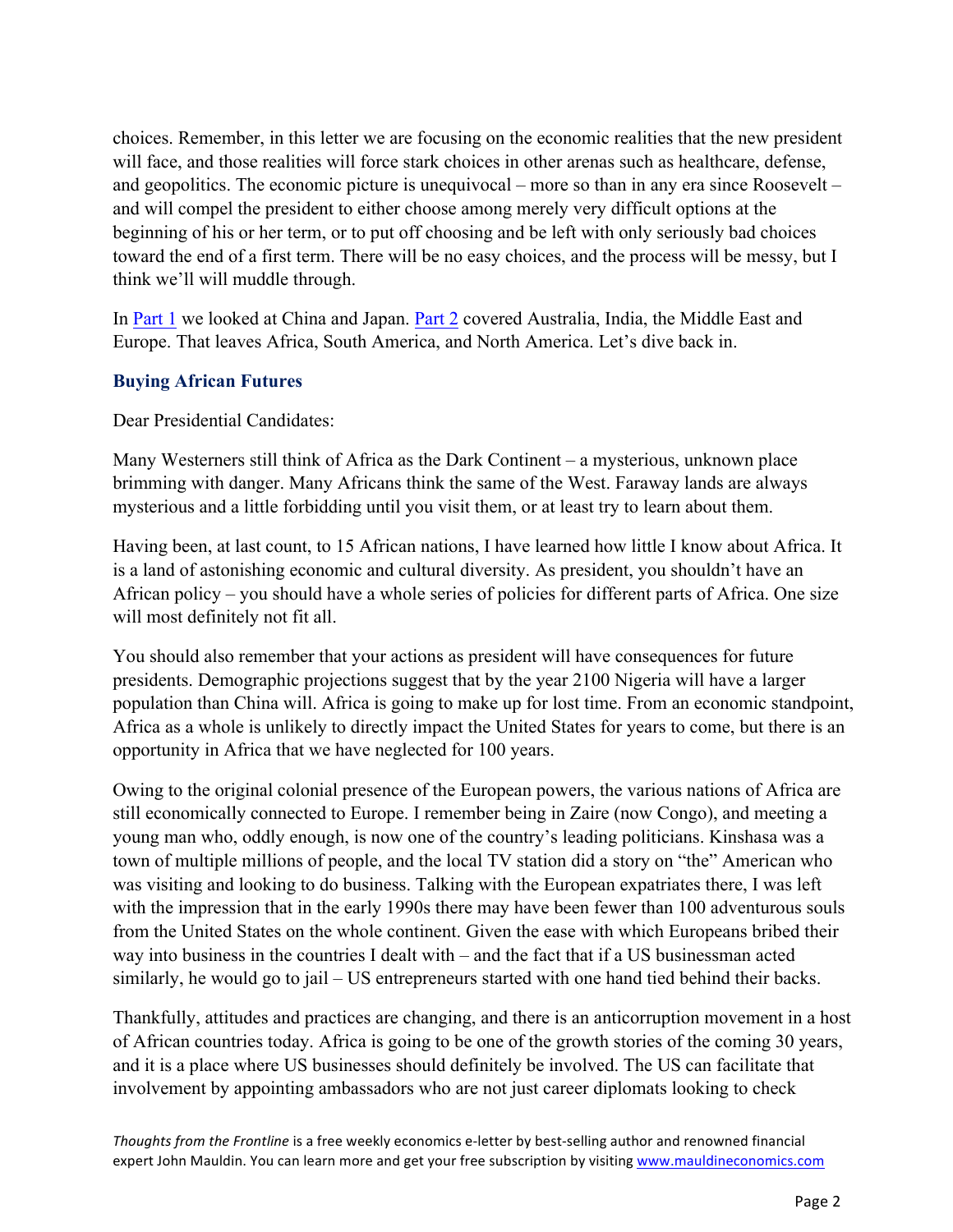choices. Remember, in this letter we are focusing on the economic realities that the new president will face, and those realities will force stark choices in other arenas such as healthcare, defense, and geopolitics. The economic picture is unequivocal – more so than in any era since Roosevelt – and will compel the president to either choose among merely very difficult options at the beginning of his or her term, or to put off choosing and be left with only seriously bad choices toward the end of a first term. There will be no easy choices, and the process will be messy, but I think we'll will muddle through.

In [Part 1](Open Letter to the Next President, Part 3) we looked at China and Japan. [Part 2](http://www.mauldineconomics.com/frontlinethoughts/open-letter-to-the-next-president-part-2) covered Australia, India, the Middle East and Europe. That leaves Africa, South America, and North America. Let's dive back in.

# **Buying African Futures**

Dear Presidential Candidates:

Many Westerners still think of Africa as the Dark Continent – a mysterious, unknown place brimming with danger. Many Africans think the same of the West. Faraway lands are always mysterious and a little forbidding until you visit them, or at least try to learn about them.

Having been, at last count, to 15 African nations, I have learned how little I know about Africa. It is a land of astonishing economic and cultural diversity. As president, you shouldn't have an African policy – you should have a whole series of policies for different parts of Africa. One size will most definitely not fit all.

You should also remember that your actions as president will have consequences for future presidents. Demographic projections suggest that by the year 2100 Nigeria will have a larger population than China will. Africa is going to make up for lost time. From an economic standpoint, Africa as a whole is unlikely to directly impact the United States for years to come, but there is an opportunity in Africa that we have neglected for 100 years.

Owing to the original colonial presence of the European powers, the various nations of Africa are still economically connected to Europe. I remember being in Zaire (now Congo), and meeting a young man who, oddly enough, is now one of the country's leading politicians. Kinshasa was a town of multiple millions of people, and the local TV station did a story on "the" American who was visiting and looking to do business. Talking with the European expatriates there, I was left with the impression that in the early 1990s there may have been fewer than 100 adventurous souls from the United States on the whole continent. Given the ease with which Europeans bribed their way into business in the countries I dealt with – and the fact that if a US businessman acted similarly, he would go to jail – US entrepreneurs started with one hand tied behind their backs.

Thankfully, attitudes and practices are changing, and there is an anticorruption movement in a host of African countries today. Africa is going to be one of the growth stories of the coming 30 years, and it is a place where US businesses should definitely be involved. The US can facilitate that involvement by appointing ambassadors who are not just career diplomats looking to check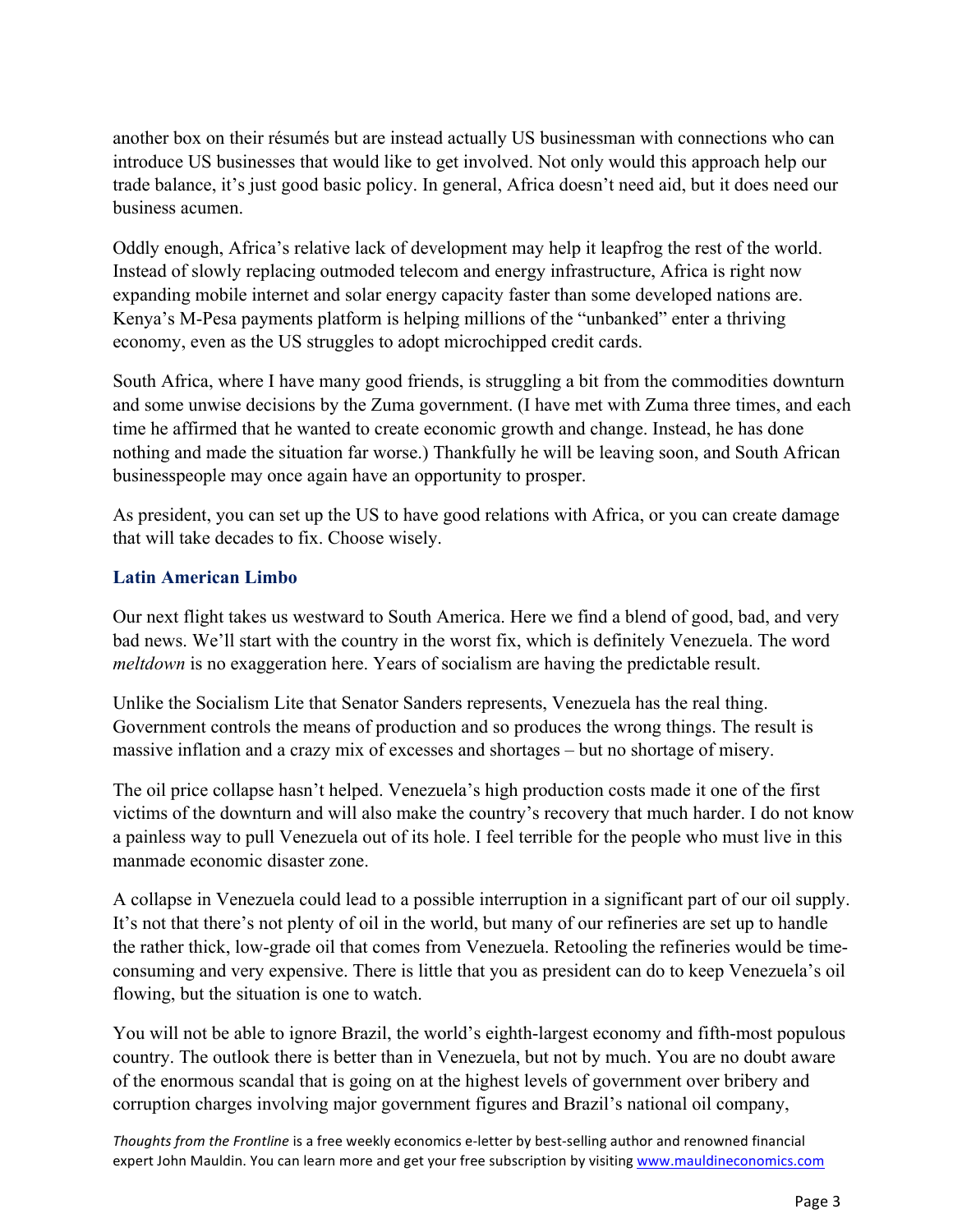another box on their résumés but are instead actually US businessman with connections who can introduce US businesses that would like to get involved. Not only would this approach help our trade balance, it's just good basic policy. In general, Africa doesn't need aid, but it does need our business acumen.

Oddly enough, Africa's relative lack of development may help it leapfrog the rest of the world. Instead of slowly replacing outmoded telecom and energy infrastructure, Africa is right now expanding mobile internet and solar energy capacity faster than some developed nations are. Kenya's M-Pesa payments platform is helping millions of the "unbanked" enter a thriving economy, even as the US struggles to adopt microchipped credit cards.

South Africa, where I have many good friends, is struggling a bit from the commodities downturn and some unwise decisions by the Zuma government. (I have met with Zuma three times, and each time he affirmed that he wanted to create economic growth and change. Instead, he has done nothing and made the situation far worse.) Thankfully he will be leaving soon, and South African businesspeople may once again have an opportunity to prosper.

As president, you can set up the US to have good relations with Africa, or you can create damage that will take decades to fix. Choose wisely.

## **Latin American Limbo**

Our next flight takes us westward to South America. Here we find a blend of good, bad, and very bad news. We'll start with the country in the worst fix, which is definitely Venezuela. The word *meltdown* is no exaggeration here. Years of socialism are having the predictable result.

Unlike the Socialism Lite that Senator Sanders represents, Venezuela has the real thing. Government controls the means of production and so produces the wrong things. The result is massive inflation and a crazy mix of excesses and shortages – but no shortage of misery.

The oil price collapse hasn't helped. Venezuela's high production costs made it one of the first victims of the downturn and will also make the country's recovery that much harder. I do not know a painless way to pull Venezuela out of its hole. I feel terrible for the people who must live in this manmade economic disaster zone.

A collapse in Venezuela could lead to a possible interruption in a significant part of our oil supply. It's not that there's not plenty of oil in the world, but many of our refineries are set up to handle the rather thick, low-grade oil that comes from Venezuela. Retooling the refineries would be timeconsuming and very expensive. There is little that you as president can do to keep Venezuela's oil flowing, but the situation is one to watch.

You will not be able to ignore Brazil, the world's eighth-largest economy and fifth-most populous country. The outlook there is better than in Venezuela, but not by much. You are no doubt aware of the enormous scandal that is going on at the highest levels of government over bribery and corruption charges involving major government figures and Brazil's national oil company,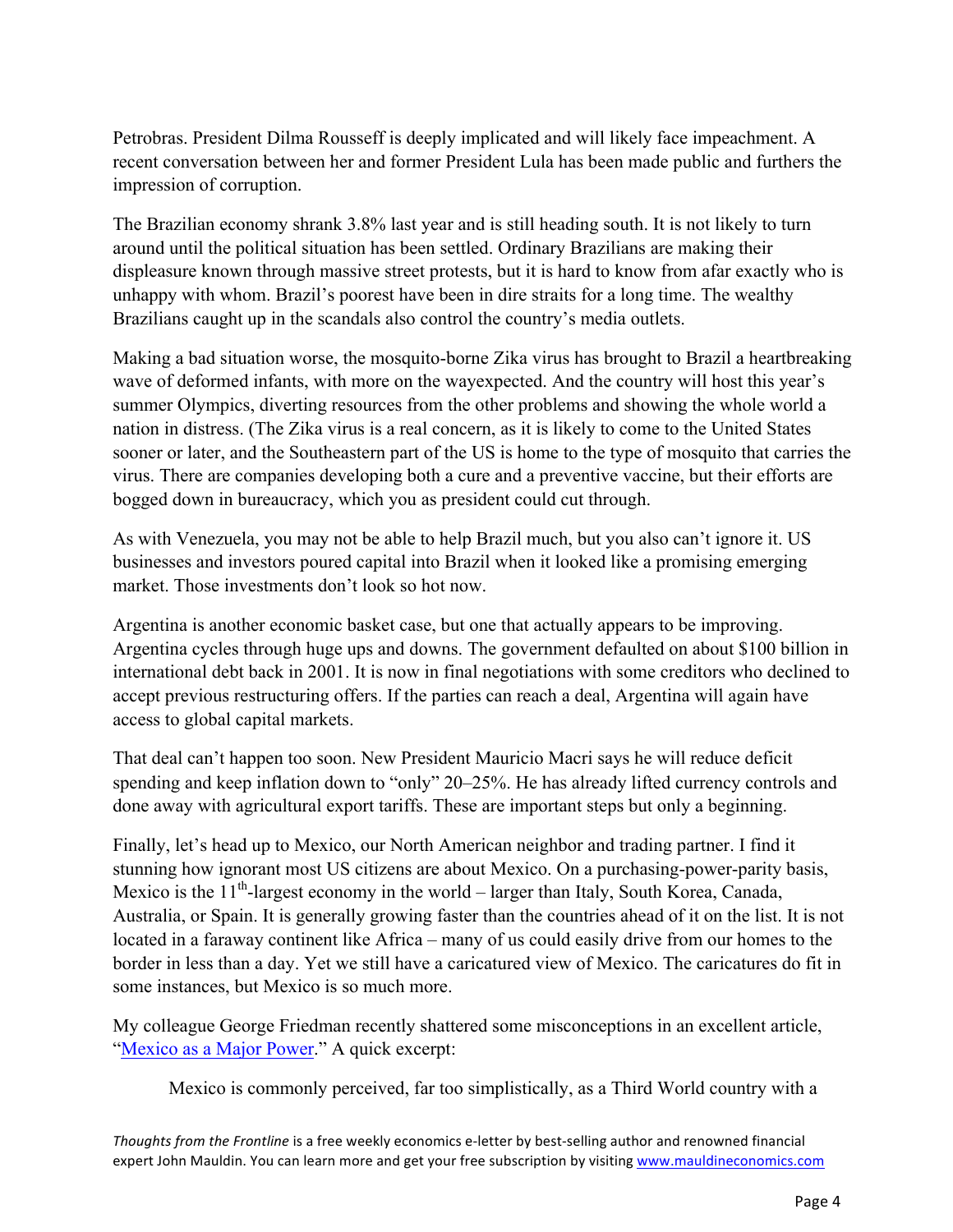Petrobras. President Dilma Rousseff is deeply implicated and will likely face impeachment. A recent conversation between her and former President Lula has been made public and furthers the impression of corruption.

The Brazilian economy shrank 3.8% last year and is still heading south. It is not likely to turn around until the political situation has been settled. Ordinary Brazilians are making their displeasure known through massive street protests, but it is hard to know from afar exactly who is unhappy with whom. Brazil's poorest have been in dire straits for a long time. The wealthy Brazilians caught up in the scandals also control the country's media outlets.

Making a bad situation worse, the mosquito-borne Zika virus has brought to Brazil a heartbreaking wave of deformed infants, with more on the wayexpected. And the country will host this year's summer Olympics, diverting resources from the other problems and showing the whole world a nation in distress. (The Zika virus is a real concern, as it is likely to come to the United States sooner or later, and the Southeastern part of the US is home to the type of mosquito that carries the virus. There are companies developing both a cure and a preventive vaccine, but their efforts are bogged down in bureaucracy, which you as president could cut through.

As with Venezuela, you may not be able to help Brazil much, but you also can't ignore it. US businesses and investors poured capital into Brazil when it looked like a promising emerging market. Those investments don't look so hot now.

Argentina is another economic basket case, but one that actually appears to be improving. Argentina cycles through huge ups and downs. The government defaulted on about \$100 billion in international debt back in 2001. It is now in final negotiations with some creditors who declined to accept previous restructuring offers. If the parties can reach a deal, Argentina will again have access to global capital markets.

That deal can't happen too soon. New President Mauricio Macri says he will reduce deficit spending and keep inflation down to "only" 20–25%. He has already lifted currency controls and done away with agricultural export tariffs. These are important steps but only a beginning.

Finally, let's head up to Mexico, our North American neighbor and trading partner. I find it stunning how ignorant most US citizens are about Mexico. On a purchasing-power-parity basis, Mexico is the  $11<sup>th</sup>$ -largest economy in the world – larger than Italy, South Korea, Canada, Australia, or Spain. It is generally growing faster than the countries ahead of it on the list. It is not located in a faraway continent like Africa – many of us could easily drive from our homes to the border in less than a day. Yet we still have a caricatured view of Mexico. The caricatures do fit in some instances, but Mexico is so much more.

My colleague George Friedman recently shattered some misconceptions in an excellent article, ["Mexico as a Major Power."](http://www.mauldineconomics.com/this-week-in-geopolitics/mexico-as-a-major-power) A quick excerpt:

Mexico is commonly perceived, far too simplistically, as a Third World country with a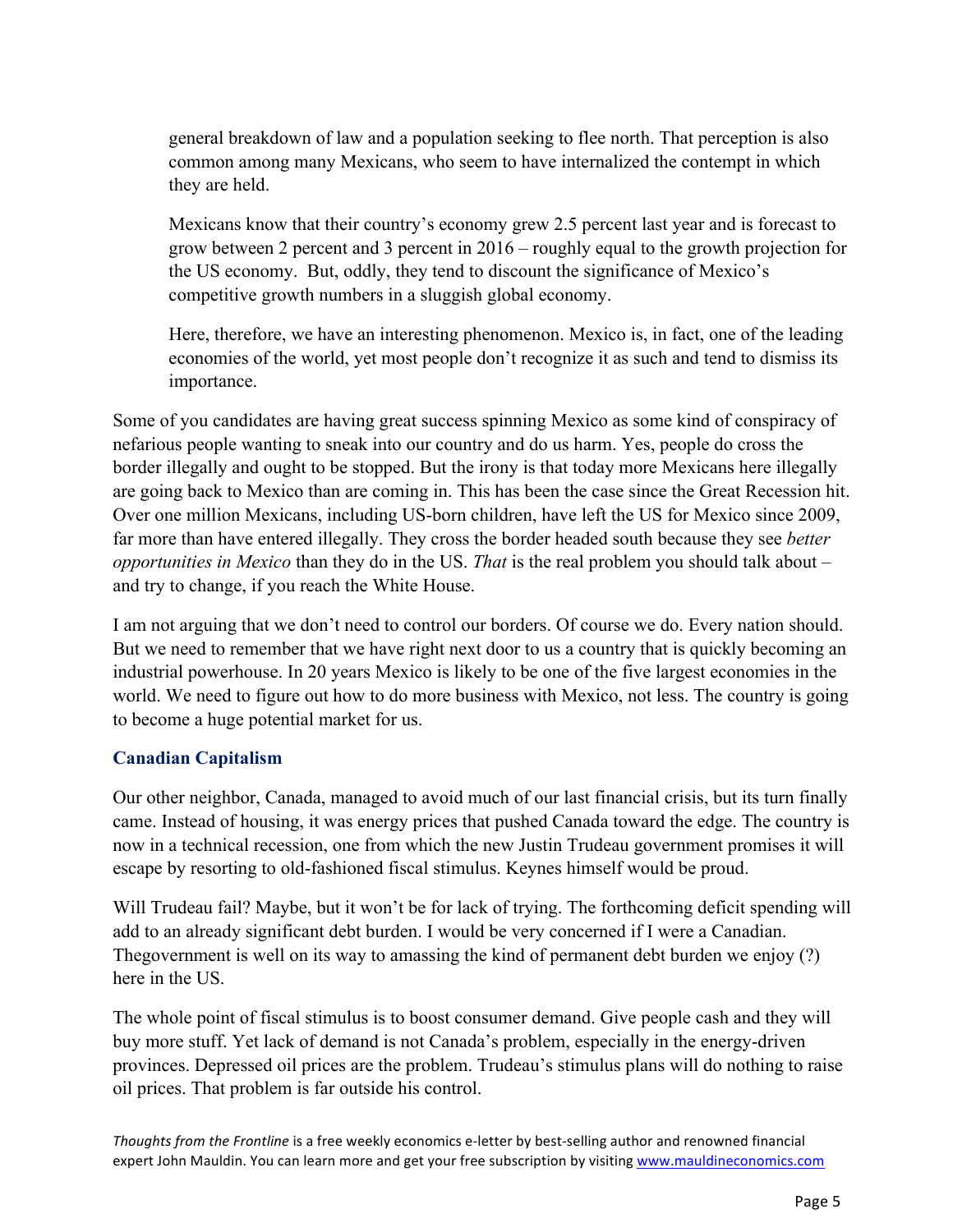general breakdown of law and a population seeking to flee north. That perception is also common among many Mexicans, who seem to have internalized the contempt in which they are held.

Mexicans know that their country's economy grew 2.5 percent last year and is forecast to grow between 2 percent and 3 percent in 2016 – roughly equal to the growth projection for the US economy. But, oddly, they tend to discount the significance of Mexico's competitive growth numbers in a sluggish global economy.

Here, therefore, we have an interesting phenomenon. Mexico is, in fact, one of the leading economies of the world, yet most people don't recognize it as such and tend to dismiss its importance.

Some of you candidates are having great success spinning Mexico as some kind of conspiracy of nefarious people wanting to sneak into our country and do us harm. Yes, people do cross the border illegally and ought to be stopped. But the irony is that today more Mexicans here illegally are going back to Mexico than are coming in. This has been the case since the Great Recession hit. Over one million Mexicans, including US-born children, have left the US for Mexico since 2009, far more than have entered illegally. They cross the border headed south because they see *better opportunities in Mexico* than they do in the US. *That* is the real problem you should talk about – and try to change, if you reach the White House.

I am not arguing that we don't need to control our borders. Of course we do. Every nation should. But we need to remember that we have right next door to us a country that is quickly becoming an industrial powerhouse. In 20 years Mexico is likely to be one of the five largest economies in the world. We need to figure out how to do more business with Mexico, not less. The country is going to become a huge potential market for us.

#### **Canadian Capitalism**

Our other neighbor, Canada, managed to avoid much of our last financial crisis, but its turn finally came. Instead of housing, it was energy prices that pushed Canada toward the edge. The country is now in a technical recession, one from which the new Justin Trudeau government promises it will escape by resorting to old-fashioned fiscal stimulus. Keynes himself would be proud.

Will Trudeau fail? Maybe, but it won't be for lack of trying. The forthcoming deficit spending will add to an already significant debt burden. I would be very concerned if I were a Canadian. Thegovernment is well on its way to amassing the kind of permanent debt burden we enjoy (?) here in the US

The whole point of fiscal stimulus is to boost consumer demand. Give people cash and they will buy more stuff. Yet lack of demand is not Canada's problem, especially in the energy-driven provinces. Depressed oil prices are the problem. Trudeau's stimulus plans will do nothing to raise oil prices. That problem is far outside his control.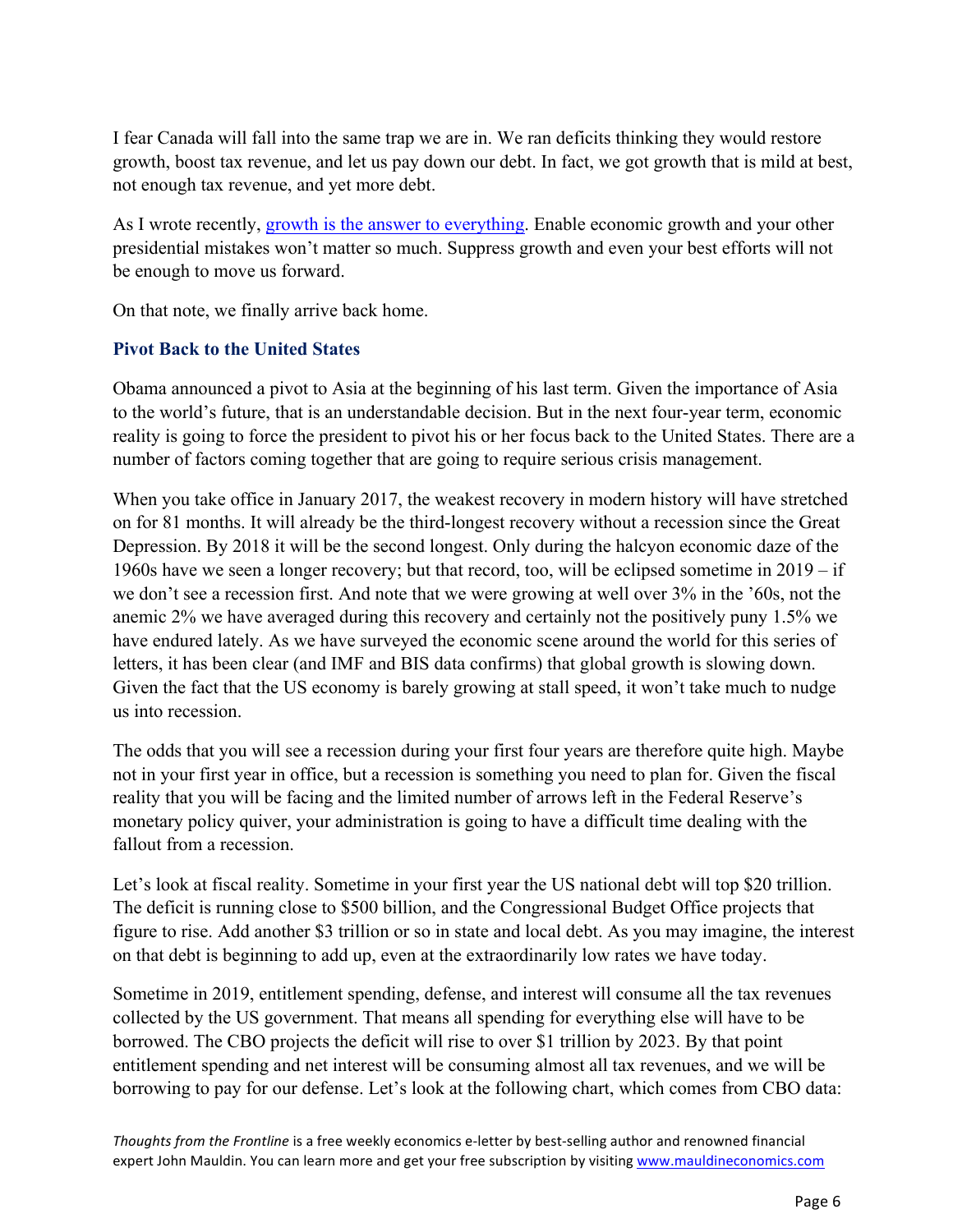I fear Canada will fall into the same trap we are in. We ran deficits thinking they would restore growth, boost tax revenue, and let us pay down our debt. In fact, we got growth that is mild at best, not enough tax revenue, and yet more debt.

As I wrote recently, [growth is the answer to everything.](http://www.mauldineconomics.com/frontlinethoughts/growth-is-the-answer-to-everything) Enable economic growth and your other presidential mistakes won't matter so much. Suppress growth and even your best efforts will not be enough to move us forward.

On that note, we finally arrive back home.

## **Pivot Back to the United States**

Obama announced a pivot to Asia at the beginning of his last term. Given the importance of Asia to the world's future, that is an understandable decision. But in the next four-year term, economic reality is going to force the president to pivot his or her focus back to the United States. There are a number of factors coming together that are going to require serious crisis management.

When you take office in January 2017, the weakest recovery in modern history will have stretched on for 81 months. It will already be the third-longest recovery without a recession since the Great Depression. By 2018 it will be the second longest. Only during the halcyon economic daze of the 1960s have we seen a longer recovery; but that record, too, will be eclipsed sometime in 2019 – if we don't see a recession first. And note that we were growing at well over 3% in the '60s, not the anemic 2% we have averaged during this recovery and certainly not the positively puny 1.5% we have endured lately. As we have surveyed the economic scene around the world for this series of letters, it has been clear (and IMF and BIS data confirms) that global growth is slowing down. Given the fact that the US economy is barely growing at stall speed, it won't take much to nudge us into recession.

The odds that you will see a recession during your first four years are therefore quite high. Maybe not in your first year in office, but a recession is something you need to plan for. Given the fiscal reality that you will be facing and the limited number of arrows left in the Federal Reserve's monetary policy quiver, your administration is going to have a difficult time dealing with the fallout from a recession.

Let's look at fiscal reality. Sometime in your first year the US national debt will top \$20 trillion. The deficit is running close to \$500 billion, and the Congressional Budget Office projects that figure to rise. Add another \$3 trillion or so in state and local debt. As you may imagine, the interest on that debt is beginning to add up, even at the extraordinarily low rates we have today.

Sometime in 2019, entitlement spending, defense, and interest will consume all the tax revenues collected by the US government. That means all spending for everything else will have to be borrowed. The CBO projects the deficit will rise to over \$1 trillion by 2023. By that point entitlement spending and net interest will be consuming almost all tax revenues, and we will be borrowing to pay for our defense. Let's look at the following chart, which comes from CBO data: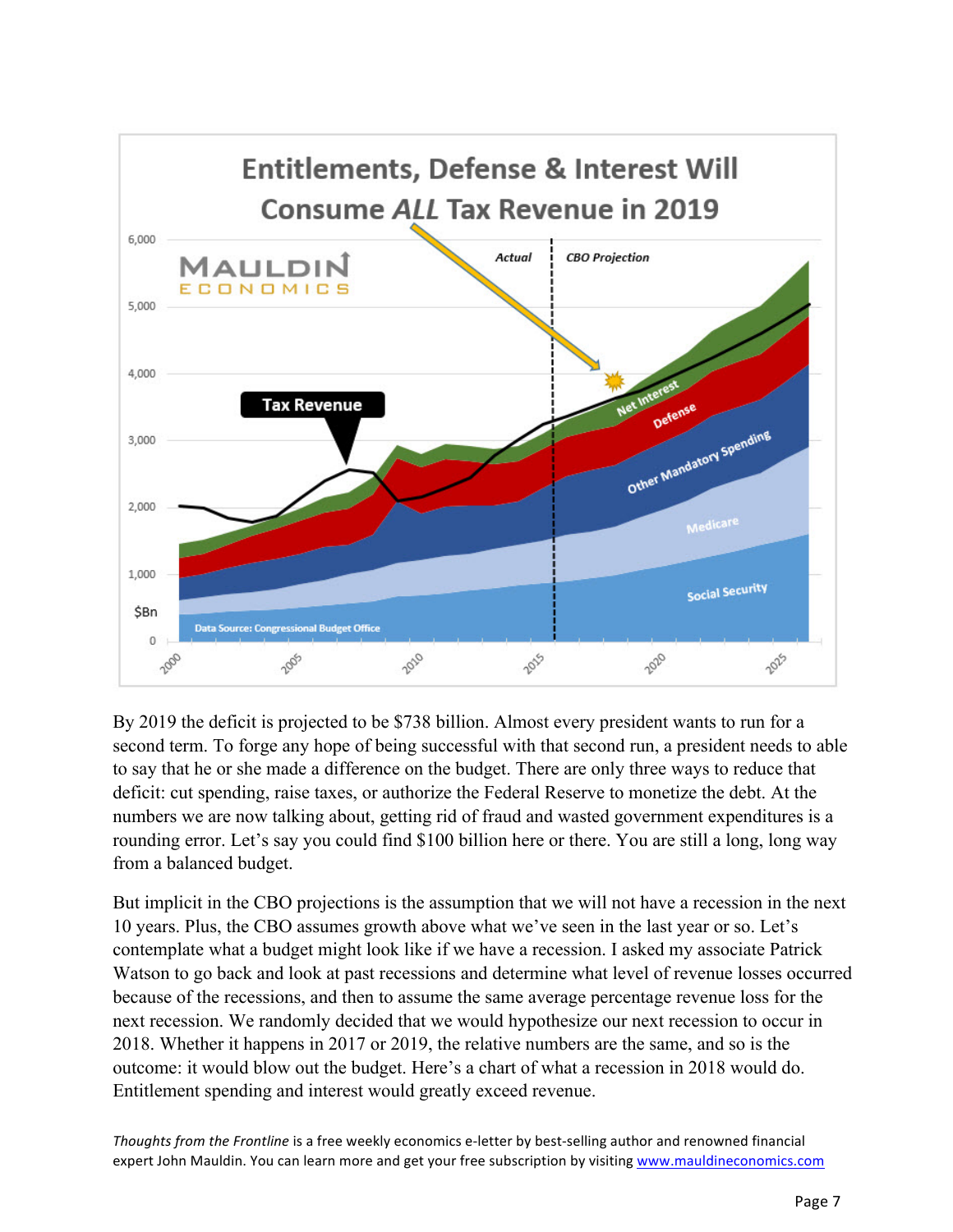

By 2019 the deficit is projected to be \$738 billion. Almost every president wants to run for a second term. To forge any hope of being successful with that second run, a president needs to able to say that he or she made a difference on the budget. There are only three ways to reduce that deficit: cut spending, raise taxes, or authorize the Federal Reserve to monetize the debt. At the numbers we are now talking about, getting rid of fraud and wasted government expenditures is a rounding error. Let's say you could find \$100 billion here or there. You are still a long, long way from a balanced budget.

But implicit in the CBO projections is the assumption that we will not have a recession in the next 10 years. Plus, the CBO assumes growth above what we've seen in the last year or so. Let's contemplate what a budget might look like if we have a recession. I asked my associate Patrick Watson to go back and look at past recessions and determine what level of revenue losses occurred because of the recessions, and then to assume the same average percentage revenue loss for the next recession. We randomly decided that we would hypothesize our next recession to occur in 2018. Whether it happens in 2017 or 2019, the relative numbers are the same, and so is the outcome: it would blow out the budget. Here's a chart of what a recession in 2018 would do. Entitlement spending and interest would greatly exceed revenue.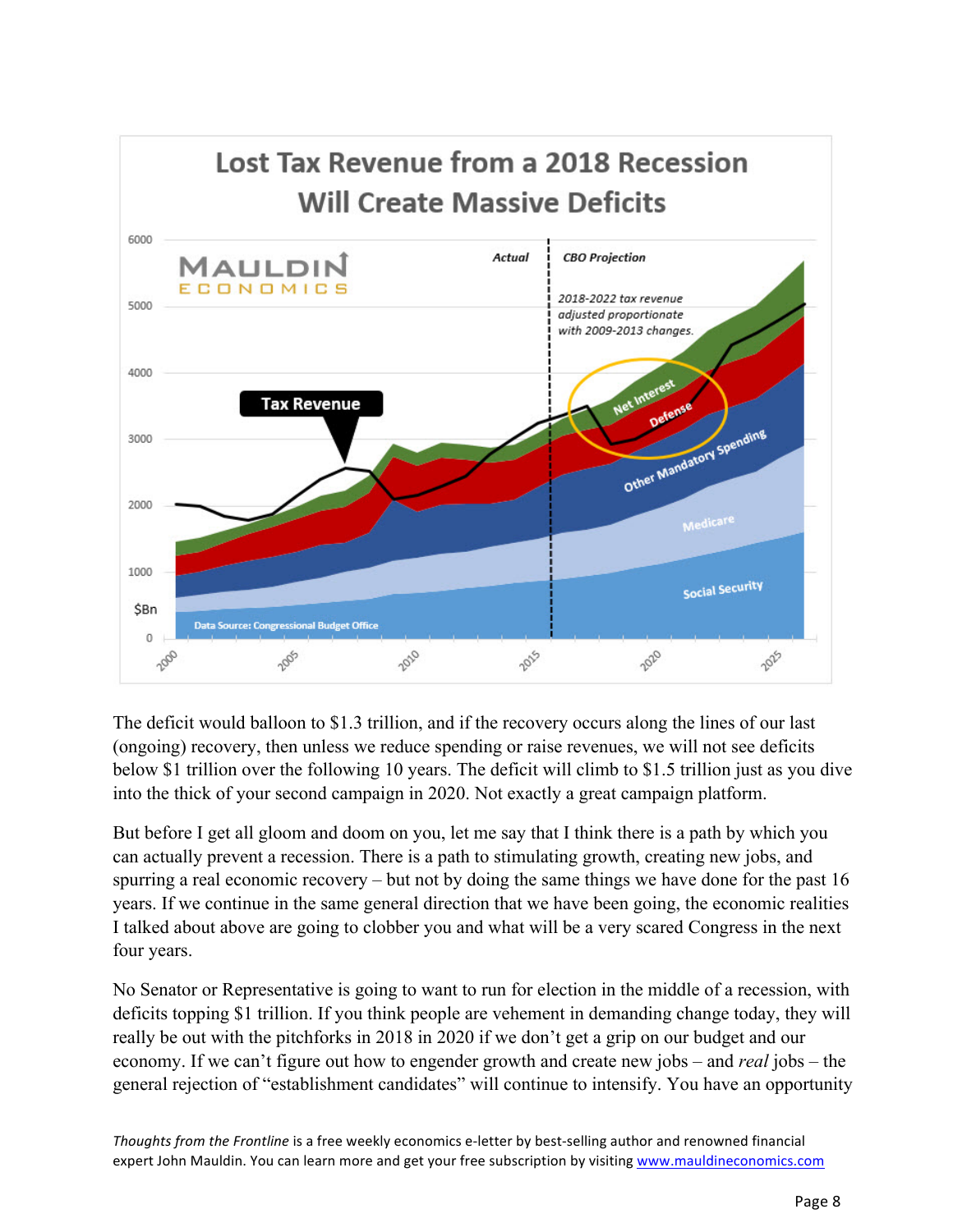

The deficit would balloon to \$1.3 trillion, and if the recovery occurs along the lines of our last (ongoing) recovery, then unless we reduce spending or raise revenues, we will not see deficits below \$1 trillion over the following 10 years. The deficit will climb to \$1.5 trillion just as you dive into the thick of your second campaign in 2020. Not exactly a great campaign platform.

But before I get all gloom and doom on you, let me say that I think there is a path by which you can actually prevent a recession. There is a path to stimulating growth, creating new jobs, and spurring a real economic recovery – but not by doing the same things we have done for the past 16 years. If we continue in the same general direction that we have been going, the economic realities I talked about above are going to clobber you and what will be a very scared Congress in the next four years.

No Senator or Representative is going to want to run for election in the middle of a recession, with deficits topping \$1 trillion. If you think people are vehement in demanding change today, they will really be out with the pitchforks in 2018 in 2020 if we don't get a grip on our budget and our economy. If we can't figure out how to engender growth and create new jobs – and *real* jobs – the general rejection of "establishment candidates" will continue to intensify. You have an opportunity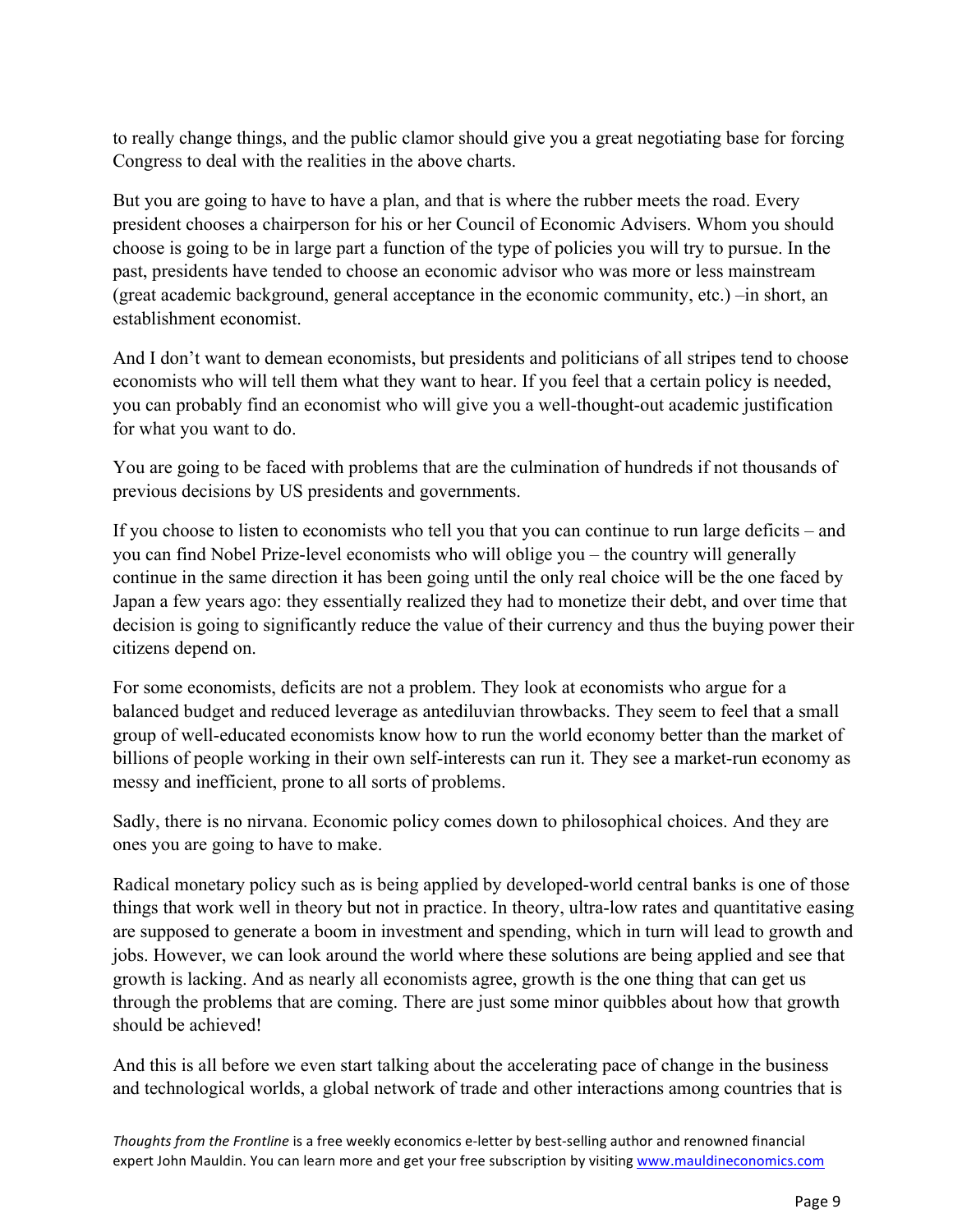to really change things, and the public clamor should give you a great negotiating base for forcing Congress to deal with the realities in the above charts.

But you are going to have to have a plan, and that is where the rubber meets the road. Every president chooses a chairperson for his or her Council of Economic Advisers. Whom you should choose is going to be in large part a function of the type of policies you will try to pursue. In the past, presidents have tended to choose an economic advisor who was more or less mainstream (great academic background, general acceptance in the economic community, etc.) –in short, an establishment economist.

And I don't want to demean economists, but presidents and politicians of all stripes tend to choose economists who will tell them what they want to hear. If you feel that a certain policy is needed, you can probably find an economist who will give you a well-thought-out academic justification for what you want to do.

You are going to be faced with problems that are the culmination of hundreds if not thousands of previous decisions by US presidents and governments.

If you choose to listen to economists who tell you that you can continue to run large deficits – and you can find Nobel Prize-level economists who will oblige you – the country will generally continue in the same direction it has been going until the only real choice will be the one faced by Japan a few years ago: they essentially realized they had to monetize their debt, and over time that decision is going to significantly reduce the value of their currency and thus the buying power their citizens depend on.

For some economists, deficits are not a problem. They look at economists who argue for a balanced budget and reduced leverage as antediluvian throwbacks. They seem to feel that a small group of well-educated economists know how to run the world economy better than the market of billions of people working in their own self-interests can run it. They see a market-run economy as messy and inefficient, prone to all sorts of problems.

Sadly, there is no nirvana. Economic policy comes down to philosophical choices. And they are ones you are going to have to make.

Radical monetary policy such as is being applied by developed-world central banks is one of those things that work well in theory but not in practice. In theory, ultra-low rates and quantitative easing are supposed to generate a boom in investment and spending, which in turn will lead to growth and jobs. However, we can look around the world where these solutions are being applied and see that growth is lacking. And as nearly all economists agree, growth is the one thing that can get us through the problems that are coming. There are just some minor quibbles about how that growth should be achieved!

And this is all before we even start talking about the accelerating pace of change in the business and technological worlds, a global network of trade and other interactions among countries that is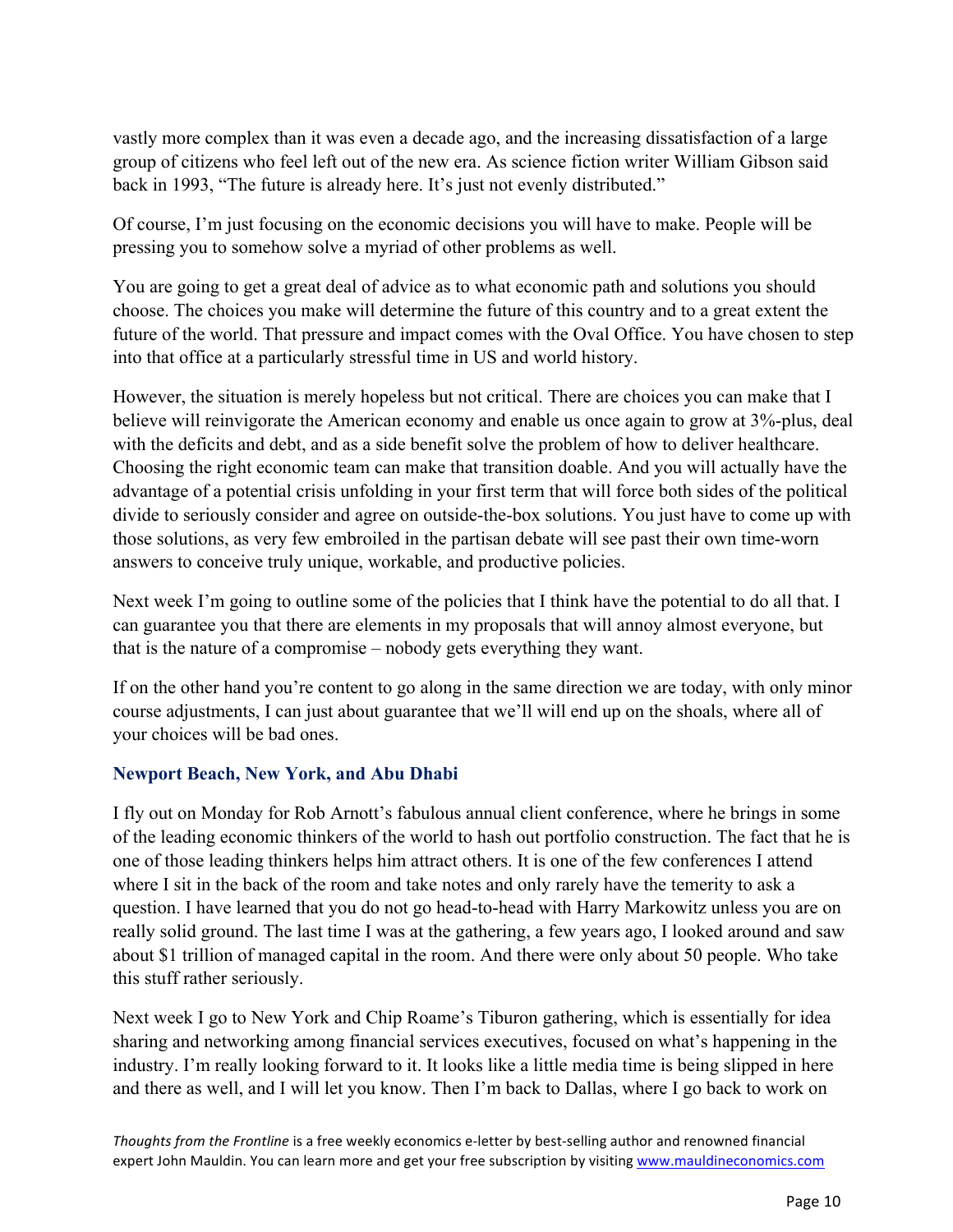vastly more complex than it was even a decade ago, and the increasing dissatisfaction of a large group of citizens who feel left out of the new era. As science fiction writer William Gibson said back in 1993, "The future is already here. It's just not evenly distributed."

Of course, I'm just focusing on the economic decisions you will have to make. People will be pressing you to somehow solve a myriad of other problems as well.

You are going to get a great deal of advice as to what economic path and solutions you should choose. The choices you make will determine the future of this country and to a great extent the future of the world. That pressure and impact comes with the Oval Office. You have chosen to step into that office at a particularly stressful time in US and world history.

However, the situation is merely hopeless but not critical. There are choices you can make that I believe will reinvigorate the American economy and enable us once again to grow at 3%-plus, deal with the deficits and debt, and as a side benefit solve the problem of how to deliver healthcare. Choosing the right economic team can make that transition doable. And you will actually have the advantage of a potential crisis unfolding in your first term that will force both sides of the political divide to seriously consider and agree on outside-the-box solutions. You just have to come up with those solutions, as very few embroiled in the partisan debate will see past their own time-worn answers to conceive truly unique, workable, and productive policies.

Next week I'm going to outline some of the policies that I think have the potential to do all that. I can guarantee you that there are elements in my proposals that will annoy almost everyone, but that is the nature of a compromise – nobody gets everything they want.

If on the other hand you're content to go along in the same direction we are today, with only minor course adjustments, I can just about guarantee that we'll will end up on the shoals, where all of your choices will be bad ones.

#### **Newport Beach, New York, and Abu Dhabi**

I fly out on Monday for Rob Arnott's fabulous annual client conference, where he brings in some of the leading economic thinkers of the world to hash out portfolio construction. The fact that he is one of those leading thinkers helps him attract others. It is one of the few conferences I attend where I sit in the back of the room and take notes and only rarely have the temerity to ask a question. I have learned that you do not go head-to-head with Harry Markowitz unless you are on really solid ground. The last time I was at the gathering, a few years ago, I looked around and saw about \$1 trillion of managed capital in the room. And there were only about 50 people. Who take this stuff rather seriously.

Next week I go to New York and Chip Roame's Tiburon gathering, which is essentially for idea sharing and networking among financial services executives, focused on what's happening in the industry. I'm really looking forward to it. It looks like a little media time is being slipped in here and there as well, and I will let you know. Then I'm back to Dallas, where I go back to work on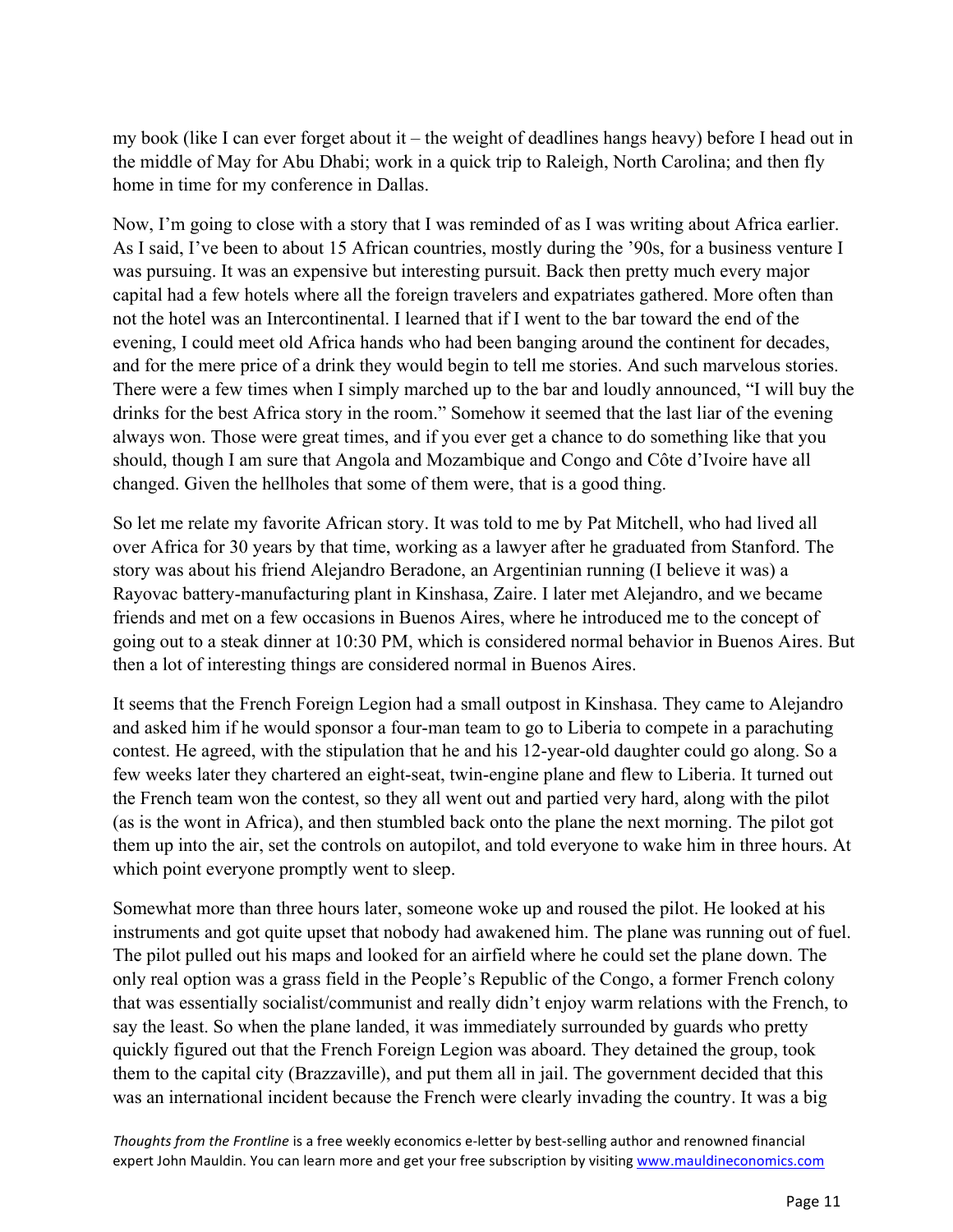my book (like I can ever forget about it – the weight of deadlines hangs heavy) before I head out in the middle of May for Abu Dhabi; work in a quick trip to Raleigh, North Carolina; and then fly home in time for my conference in Dallas.

Now, I'm going to close with a story that I was reminded of as I was writing about Africa earlier. As I said, I've been to about 15 African countries, mostly during the '90s, for a business venture I was pursuing. It was an expensive but interesting pursuit. Back then pretty much every major capital had a few hotels where all the foreign travelers and expatriates gathered. More often than not the hotel was an Intercontinental. I learned that if I went to the bar toward the end of the evening, I could meet old Africa hands who had been banging around the continent for decades, and for the mere price of a drink they would begin to tell me stories. And such marvelous stories. There were a few times when I simply marched up to the bar and loudly announced, "I will buy the drinks for the best Africa story in the room." Somehow it seemed that the last liar of the evening always won. Those were great times, and if you ever get a chance to do something like that you should, though I am sure that Angola and Mozambique and Congo and Côte d'Ivoire have all changed. Given the hellholes that some of them were, that is a good thing.

So let me relate my favorite African story. It was told to me by Pat Mitchell, who had lived all over Africa for 30 years by that time, working as a lawyer after he graduated from Stanford. The story was about his friend Alejandro Beradone, an Argentinian running (I believe it was) a Rayovac battery-manufacturing plant in Kinshasa, Zaire. I later met Alejandro, and we became friends and met on a few occasions in Buenos Aires, where he introduced me to the concept of going out to a steak dinner at 10:30 PM, which is considered normal behavior in Buenos Aires. But then a lot of interesting things are considered normal in Buenos Aires.

It seems that the French Foreign Legion had a small outpost in Kinshasa. They came to Alejandro and asked him if he would sponsor a four-man team to go to Liberia to compete in a parachuting contest. He agreed, with the stipulation that he and his 12-year-old daughter could go along. So a few weeks later they chartered an eight-seat, twin-engine plane and flew to Liberia. It turned out the French team won the contest, so they all went out and partied very hard, along with the pilot (as is the wont in Africa), and then stumbled back onto the plane the next morning. The pilot got them up into the air, set the controls on autopilot, and told everyone to wake him in three hours. At which point everyone promptly went to sleep.

Somewhat more than three hours later, someone woke up and roused the pilot. He looked at his instruments and got quite upset that nobody had awakened him. The plane was running out of fuel. The pilot pulled out his maps and looked for an airfield where he could set the plane down. The only real option was a grass field in the People's Republic of the Congo, a former French colony that was essentially socialist/communist and really didn't enjoy warm relations with the French, to say the least. So when the plane landed, it was immediately surrounded by guards who pretty quickly figured out that the French Foreign Legion was aboard. They detained the group, took them to the capital city (Brazzaville), and put them all in jail. The government decided that this was an international incident because the French were clearly invading the country. It was a big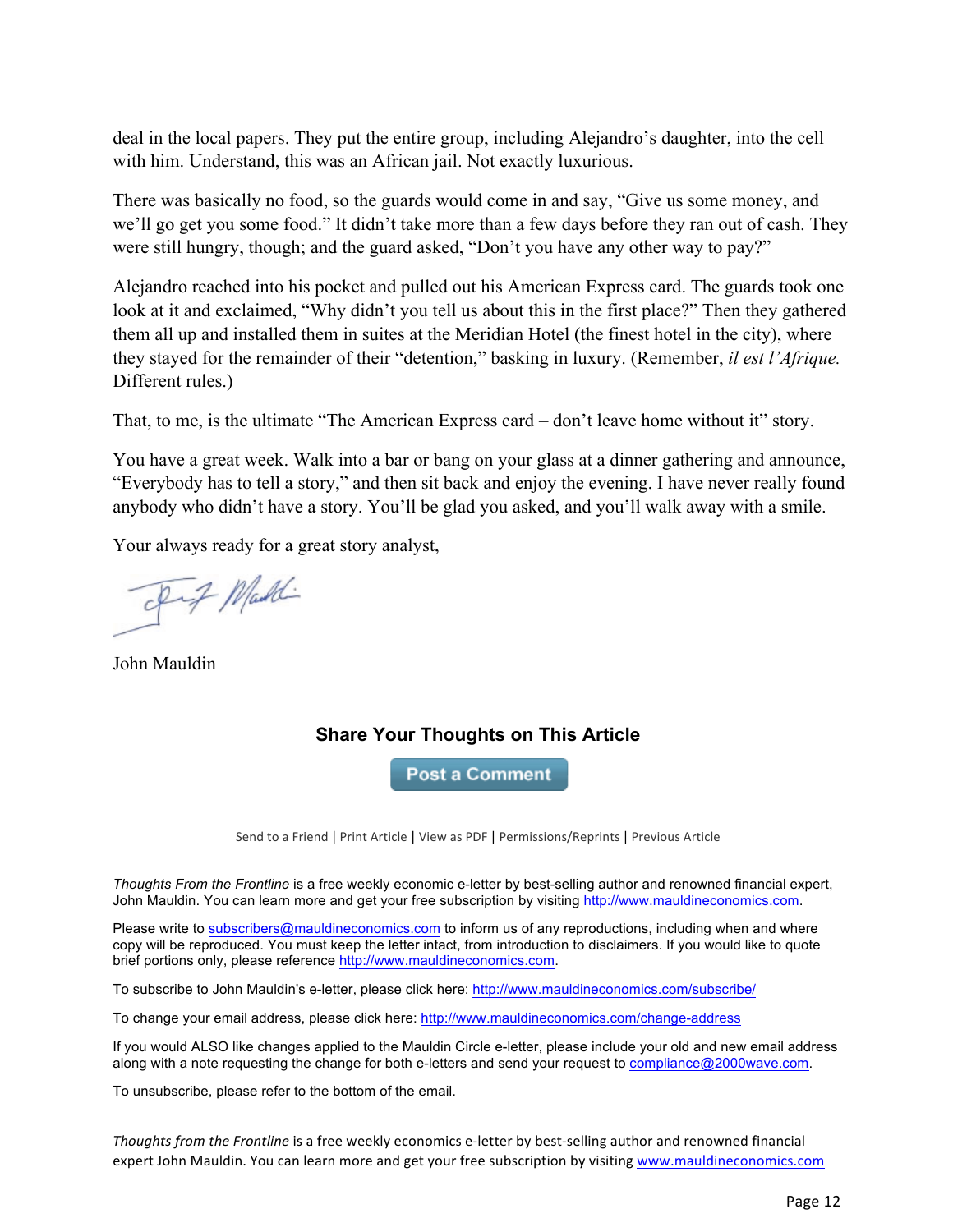deal in the local papers. They put the entire group, including Alejandro's daughter, into the cell with him. Understand, this was an African jail. Not exactly luxurious.

There was basically no food, so the guards would come in and say, "Give us some money, and we'll go get you some food." It didn't take more than a few days before they ran out of cash. They were still hungry, though; and the guard asked, "Don't you have any other way to pay?"

Alejandro reached into his pocket and pulled out his American Express card. The guards took one look at it and exclaimed, "Why didn't you tell us about this in the first place?" Then they gathered them all up and installed them in suites at the Meridian Hotel (the finest hotel in the city), where they stayed for the remainder of their "detention," basking in luxury. (Remember, *il est l'Afrique.* Different rules.)

That, to me, is the ultimate "The American Express card – don't leave home without it" story.

You have a great week. Walk into a bar or bang on your glass at a dinner gathering and announce, "Everybody has to tell a story," and then sit back and enjoy the evening. I have never really found anybody who didn't have a story. You'll be glad you asked, and you'll walk away with a smile.

Your always ready for a great story analyst,

Pit Maddi

John Mauldin

#### **Share Your Thoughts on This Article**

**Post a Comment** 

Send to a Friend | Print Article | View as PDF | Permissions/Reprints | Previous Article

*Thoughts From the Frontline* is a free weekly economic e-letter by best-selling author and renowned financial expert, John Mauldin. You can learn more and get your free subscription by visiting http://www.mauldineconomics.com.

Please write to subscribers@mauldineconomics.com to inform us of any reproductions, including when and where copy will be reproduced. You must keep the letter intact, from introduction to disclaimers. If you would like to quote brief portions only, please reference http://www.mauldineconomics.com.

To subscribe to John Mauldin's e-letter, please click here: http://www.mauldineconomics.com/subscribe/

To change your email address, please click here: http://www.mauldineconomics.com/change-address

If you would ALSO like changes applied to the Mauldin Circle e-letter, please include your old and new email address along with a note requesting the change for both e-letters and send your request to compliance@2000wave.com.

To unsubscribe, please refer to the bottom of the email.